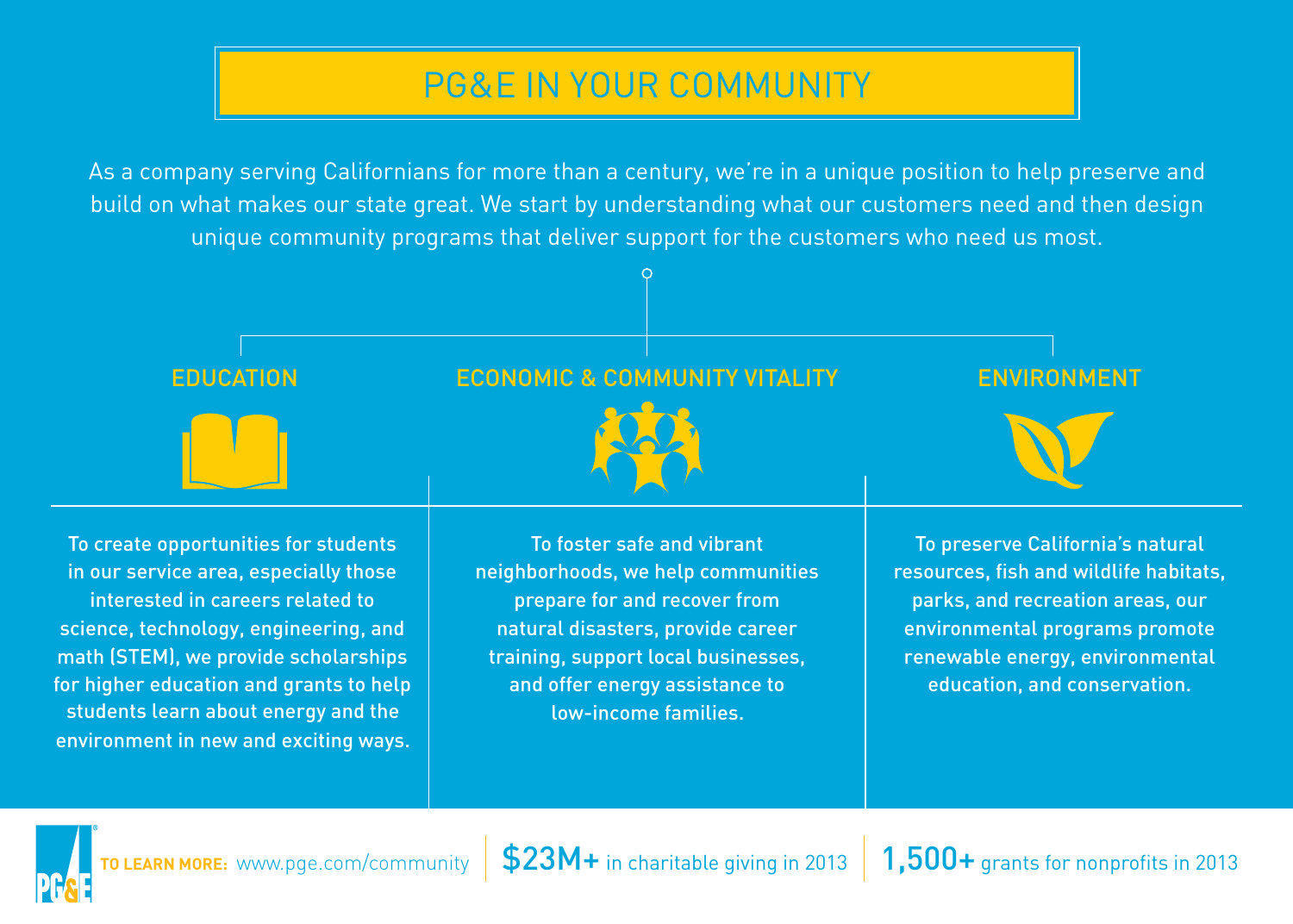#### PG&E IN YOUR COMMUNITY

As a company serving Californians for more than a century, we're in a unique position to help preserve and build on what makes our state great. We start by understanding what our customers need and then design unique community programs that deliver support for the customers who need us most.





<code>TOLEARN</code> MORE: [www.pge.com/community](http://www.pge.com/community)  $\,|\,$  \$23M+ in charitable giving in 2013  $\,|\,$   $1,500+$  grants for nonprofits in 2013